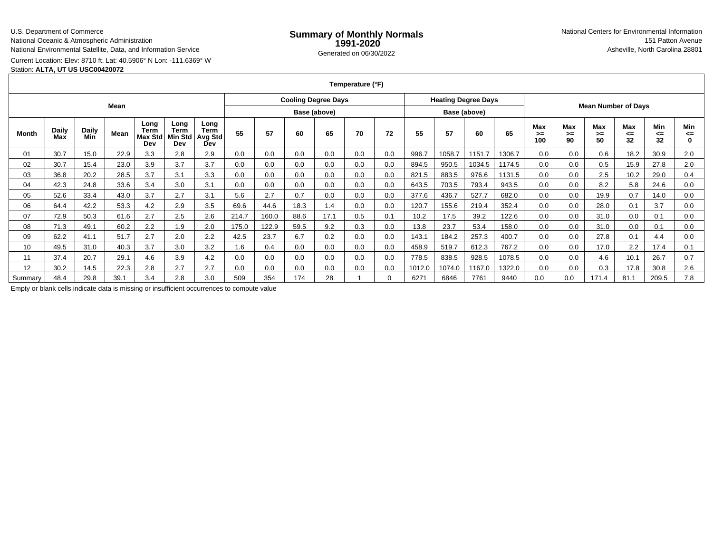### U.S. Department of Commerce

National Oceanic & Atmospheric Administration

National Environmental Satellite, Data, and Information Service

# Current Location: Elev: 8710 ft. Lat: 40.5906° N Lon: -111.6369° W

Station: **ALTA, UT US USC00420072**

**Temperature (°F)**

| Mean    |                     |                     |      |                                       |                                |                                       | <b>Cooling Degree Days</b> |       |      |              |     |     | <b>Heating Degree Days</b> |        |              |        | <b>Mean Number of Days</b> |                 |                 |                 |                 |                |
|---------|---------------------|---------------------|------|---------------------------------------|--------------------------------|---------------------------------------|----------------------------|-------|------|--------------|-----|-----|----------------------------|--------|--------------|--------|----------------------------|-----------------|-----------------|-----------------|-----------------|----------------|
|         |                     |                     |      |                                       |                                |                                       |                            |       |      | Base (above) |     |     |                            |        | Base (above) |        |                            |                 |                 |                 |                 |                |
| Month   | <b>Daily</b><br>Max | <b>Daily</b><br>Min | Mean | Long<br>Term<br><b>Max Std</b><br>Dev | Long<br>Term<br>Min Std<br>Dev | Long<br>Term<br><b>Avg Std</b><br>Dev | 55                         | 57    | 60   | 65           | 70  | 72  | 55                         | 57     | 60           | 65     | Max<br>>≕<br>100           | Max<br>>=<br>90 | Max<br>>≕<br>50 | Max<br><=<br>32 | Min<br><=<br>32 | Min<br><=<br>0 |
| 01      | 30.7                | 15.0                | 22.9 | 3.3                                   | 2.8                            | 2.9                                   | 0.0                        | 0.0   | 0.0  | 0.0          | 0.0 | 0.0 | 996.7                      | 1058.7 | 1151.7       | 1306.7 | 0.0                        | 0.0             | 0.6             | 18.2            | 30.9            | 2.0            |
| 02      | 30.7                | 15.4                | 23.0 | 3.9                                   | 3.7                            | 3.7                                   | 0.0                        | 0.0   | 0.0  | 0.0          | 0.0 | 0.0 | 894.5                      | 950.5  | 1034.5       | 1174.5 | 0.0                        | 0.0             | 0.5             | 15.9            | 27.8            | 2.0            |
| 03      | 36.8                | 20.2                | 28.5 | 3.7                                   | 3.1                            | 3.3                                   | 0.0                        | 0.0   | 0.0  | 0.0          | 0.0 | 0.0 | 821.5                      | 883.5  | 976.6        | 1131.5 | 0.0                        | 0.0             | 2.5             | 10.2            | 29.0            | 0.4            |
| 04      | 42.3                | 24.8                | 33.6 | 3.4                                   | 3.0                            | 3.1                                   | 0.0                        | 0.0   | 0.0  | 0.0          | 0.0 | 0.0 | 643.5                      | 703.5  | 793.4        | 943.5  | 0.0                        | 0.0             | 8.2             | 5.8             | 24.6            | 0.0            |
| 05      | 52.6                | 33.4                | 43.0 | 3.7                                   | 2.7                            | 3.1                                   | 5.6                        | 2.7   | 0.7  | 0.0          | 0.0 | 0.0 | 377.6                      | 436.7  | 527.7        | 682.0  | 0.0                        | 0.0             | 19.9            | 0.7             | 14.0            | 0.0            |
| 06      | 64.4                | 42.2                | 53.3 | 4.2                                   | 2.9                            | 3.5                                   | 69.6                       | 44.6  | 18.3 | 1.4          | 0.0 | 0.0 | 120.7                      | 155.6  | 219.4        | 352.4  | 0.0                        | 0.0             | 28.0            | 0.1             | 3.7             | 0.0            |
| 07      | 72.9                | 50.3                | 61.6 | 2.7                                   | 2.5                            | 2.6                                   | 214.7                      | 160.0 | 88.6 | 17.1         | 0.5 | 0.1 | 10.2                       | 17.5   | 39.2         | 122.6  | 0.0                        | 0.0             | 31.0            | 0.0             | 0.1             | 0.0            |
| 08      | 71.3                | 49.1                | 60.2 | 2.2                                   | 1.9                            | 2.0                                   | 175.0                      | 122.9 | 59.5 | 9.2          | 0.3 | 0.0 | 13.8                       | 23.7   | 53.4         | 158.0  | 0.0                        | 0.0             | 31.0            | 0.0             | 0.1             | 0.0            |
| 09      | 62.2                | 41.1                | 51.7 | 2.7                                   | 2.0                            | 2.2                                   | 42.5                       | 23.7  | 6.7  | 0.2          | 0.0 | 0.0 | 143.1                      | 184.2  | 257.3        | 400.7  | 0.0                        | 0.0             | 27.8            | 0.1             | 4.4             | 0.0            |
| 10      | 49.5                | 31.0                | 40.3 | 3.7                                   | 3.0                            | 3.2                                   | $.6\,$                     | 0.4   | 0.0  | 0.0          | 0.0 | 0.0 | 458.9                      | 519.7  | 612.3        | 767.2  | 0.0                        | 0.0             | 17.0            | 2.2             | 17.4            | 0.1            |
| 11      | 37.4                | 20.7                | 29.1 | 4.6                                   | 3.9                            | 4.2                                   | 0.0                        | 0.0   | 0.0  | 0.0          | 0.0 | 0.0 | 778.5                      | 838.5  | 928.5        | 1078.5 | 0.0                        | 0.0             | 4.6             | 10.1            | 26.7            | 0.7            |
| 12      | 30.2                | 14.5                | 22.3 | 2.8                                   | 2.7                            | 2.7                                   | 0.0                        | 0.0   | 0.0  | 0.0          | 0.0 | 0.0 | 1012.0                     | 1074.0 | 1167.0       | 1322.0 | 0.0                        | 0.0             | 0.3             | 17.8            | 30.8            | 2.6            |
| Summarv | 48.4                | 29.8                | 39.1 | 3.4                                   | 2.8                            | 3.0                                   | 509                        | 354   | 174  | 28           |     | 0   | 6271                       | 6846   | 7761         | 9440   | 0.0                        | 0.0             | 171.4           | 81.1            | 209.5           | 7.8            |

Empty or blank cells indicate data is missing or insufficient occurrences to compute value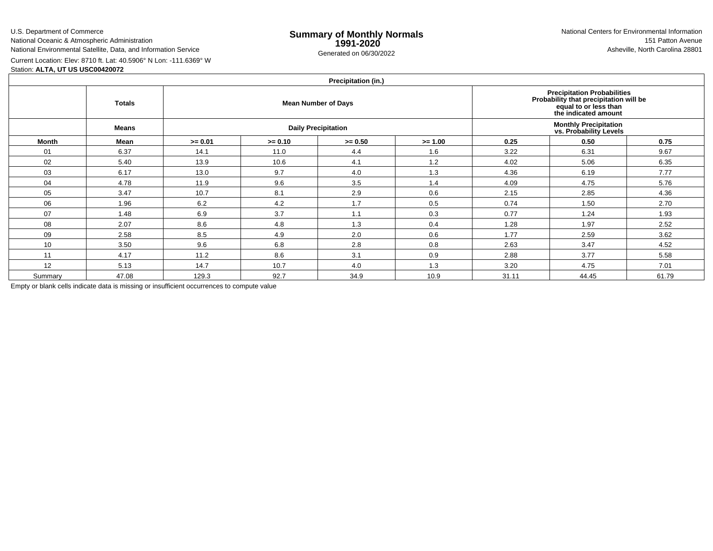U.S. Department of Commerce

National Oceanic & Atmospheric Administration

National Environmental Satellite, Data, and Information Service

e **Summary of Monthly Normals**<br> **1991-2020** 151 Patton Avenue **1991-2020** 1997-2020 e Generated on 06/30/2022 Asheville, North Carolina 28801 National Centers for Environmental Information151 Patton Avenue

Current Location: Elev: 8710 ft. Lat: 40.5906° N Lon: -111.6369° W

# Station: **ALTA, UT US USC00420072**

## **Precipitation (in.)**

|         | <b>FIGUIPILATION</b> (III.) |           |                            |                                                        |                                                                                                                               |       |       |       |  |  |  |  |  |  |
|---------|-----------------------------|-----------|----------------------------|--------------------------------------------------------|-------------------------------------------------------------------------------------------------------------------------------|-------|-------|-------|--|--|--|--|--|--|
|         | <b>Totals</b>               |           |                            | <b>Mean Number of Days</b>                             | <b>Precipitation Probabilities</b><br>Probability that precipitation will be<br>equal to or less than<br>the indicated amount |       |       |       |  |  |  |  |  |  |
|         | <b>Means</b>                |           | <b>Daily Precipitation</b> | <b>Monthly Precipitation</b><br>vs. Probability Levels |                                                                                                                               |       |       |       |  |  |  |  |  |  |
| Month   | Mean                        | $>= 0.01$ | $>= 0.10$                  | $>= 0.50$                                              | $>= 1.00$                                                                                                                     | 0.25  | 0.50  | 0.75  |  |  |  |  |  |  |
| 01      | 6.37                        | 14.1      | 11.0                       | 4.4                                                    | 1.6                                                                                                                           | 3.22  | 6.31  | 9.67  |  |  |  |  |  |  |
| 02      | 5.40                        | 13.9      | 10.6                       | 4.1                                                    | 1.2                                                                                                                           | 4.02  | 5.06  | 6.35  |  |  |  |  |  |  |
| 03      | 6.17                        | 13.0      | 9.7                        | 4.0                                                    | 1.3                                                                                                                           | 4.36  | 6.19  | 7.77  |  |  |  |  |  |  |
| 04      | 4.78                        | 11.9      | 9.6                        | 3.5                                                    | 1.4                                                                                                                           | 4.09  | 4.75  | 5.76  |  |  |  |  |  |  |
| 05      | 3.47                        | 10.7      | 8.1                        | 2.9                                                    | 0.6                                                                                                                           | 2.15  | 2.85  | 4.36  |  |  |  |  |  |  |
| 06      | 1.96                        | 6.2       | 4.2                        | 1.7                                                    | 0.5                                                                                                                           | 0.74  | 1.50  | 2.70  |  |  |  |  |  |  |
| 07      | 1.48                        | 6.9       | 3.7                        | 1.1                                                    | 0.3                                                                                                                           | 0.77  | 1.24  | 1.93  |  |  |  |  |  |  |
| 08      | 2.07                        | 8.6       | 4.8                        | 1.3                                                    | 0.4                                                                                                                           | 1.28  | 1.97  | 2.52  |  |  |  |  |  |  |
| 09      | 2.58                        | 8.5       | 4.9                        | 2.0                                                    | 0.6                                                                                                                           | 1.77  | 2.59  | 3.62  |  |  |  |  |  |  |
| 10      | 3.50                        | 9.6       | 6.8                        | 2.8                                                    | 0.8                                                                                                                           | 2.63  | 3.47  | 4.52  |  |  |  |  |  |  |
| 11      | 4.17                        | 11.2      | 8.6                        | 3.1                                                    | 0.9                                                                                                                           | 2.88  | 3.77  | 5.58  |  |  |  |  |  |  |
| 12      | 5.13                        | 14.7      | 10.7                       | 4.0                                                    | 1.3                                                                                                                           | 3.20  | 4.75  | 7.01  |  |  |  |  |  |  |
| Summary | 47.08                       | 129.3     | 92.7                       | 34.9                                                   | 10.9                                                                                                                          | 31.11 | 44.45 | 61.79 |  |  |  |  |  |  |

Empty or blank cells indicate data is missing or insufficient occurrences to compute value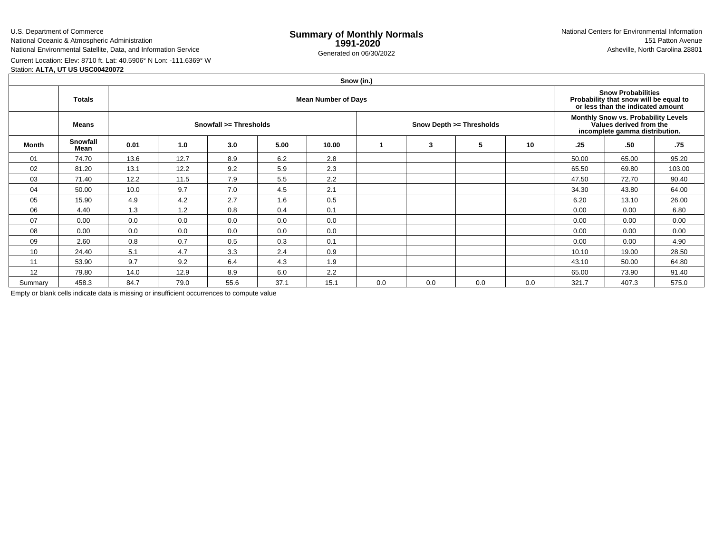## U.S. Department of Commerce

National Oceanic & Atmospheric Administration

National Environmental Satellite, Data, and Information Service

e **Summary of Monthly Normals**<br> **1991-2020** 151 Patton Avenue **1991-2020** 1997-2020 e Generated on 06/30/2022 Asheville, North Carolina 28801 National Centers for Environmental Information151 Patton Avenue

Current Location: Elev: 8710 ft. Lat: 40.5906° N Lon: -111.6369° WStation: **ALTA, UT US USC00420072**

|         | Snow (in.)                                  |      |      |                        |      |       |     |     |                          |                                                                                                  |       |                                                                                                          |        |  |  |
|---------|---------------------------------------------|------|------|------------------------|------|-------|-----|-----|--------------------------|--------------------------------------------------------------------------------------------------|-------|----------------------------------------------------------------------------------------------------------|--------|--|--|
|         | <b>Mean Number of Days</b><br><b>Totals</b> |      |      |                        |      |       |     |     |                          |                                                                                                  |       | <b>Snow Probabilities</b><br>Probability that snow will be equal to<br>or less than the indicated amount |        |  |  |
|         | Means                                       |      |      | Snowfall >= Thresholds |      |       |     |     | Snow Depth >= Thresholds | Monthly Snow vs. Probability Levels<br>Values derived from the<br>incomplete gamma distribution. |       |                                                                                                          |        |  |  |
| Month   | Snowfall<br>Mean                            | 0.01 | 1.0  | 3.0                    | 5.00 | 10.00 |     | 3   | 5                        | 10                                                                                               | .25   | .50                                                                                                      | .75    |  |  |
| 01      | 74.70                                       | 13.6 | 12.7 | 8.9                    | 6.2  | 2.8   |     |     |                          |                                                                                                  | 50.00 | 65.00                                                                                                    | 95.20  |  |  |
| 02      | 81.20                                       | 13.1 | 12.2 | 9.2                    | 5.9  | 2.3   |     |     |                          |                                                                                                  | 65.50 | 69.80                                                                                                    | 103.00 |  |  |
| 03      | 71.40                                       | 12.2 | 11.5 | 7.9                    | 5.5  | 2.2   |     |     |                          |                                                                                                  | 47.50 | 72.70                                                                                                    | 90.40  |  |  |
| 04      | 50.00                                       | 10.0 | 9.7  | 7.0                    | 4.5  | 2.1   |     |     |                          |                                                                                                  | 34.30 | 43.80                                                                                                    | 64.00  |  |  |
| 05      | 15.90                                       | 4.9  | 4.2  | 2.7                    | 1.6  | 0.5   |     |     |                          |                                                                                                  | 6.20  | 13.10                                                                                                    | 26.00  |  |  |
| 06      | 4.40                                        | 1.3  | 1.2  | 0.8                    | 0.4  | 0.1   |     |     |                          |                                                                                                  | 0.00  | 0.00                                                                                                     | 6.80   |  |  |
| 07      | 0.00                                        | 0.0  | 0.0  | 0.0                    | 0.0  | 0.0   |     |     |                          |                                                                                                  | 0.00  | 0.00                                                                                                     | 0.00   |  |  |
| 08      | 0.00                                        | 0.0  | 0.0  | 0.0                    | 0.0  | 0.0   |     |     |                          |                                                                                                  | 0.00  | 0.00                                                                                                     | 0.00   |  |  |
| 09      | 2.60                                        | 0.8  | 0.7  | 0.5                    | 0.3  | 0.1   |     |     |                          |                                                                                                  | 0.00  | 0.00                                                                                                     | 4.90   |  |  |
| 10      | 24.40                                       | 5.1  | 4.7  | 3.3                    | 2.4  | 0.9   |     |     |                          |                                                                                                  | 10.10 | 19.00                                                                                                    | 28.50  |  |  |
| 11      | 53.90                                       | 9.7  | 9.2  | 6.4                    | 4.3  | 1.9   |     |     |                          |                                                                                                  | 43.10 | 50.00                                                                                                    | 64.80  |  |  |
| 12      | 79.80                                       | 14.0 | 12.9 | 8.9                    | 6.0  | 2.2   |     |     |                          |                                                                                                  | 65.00 | 73.90                                                                                                    | 91.40  |  |  |
| Summary | 458.3                                       | 84.7 | 79.0 | 55.6                   | 37.1 | 15.1  | 0.0 | 0.0 | 0.0                      | 0.0                                                                                              | 321.7 | 407.3                                                                                                    | 575.0  |  |  |

Empty or blank cells indicate data is missing or insufficient occurrences to compute value